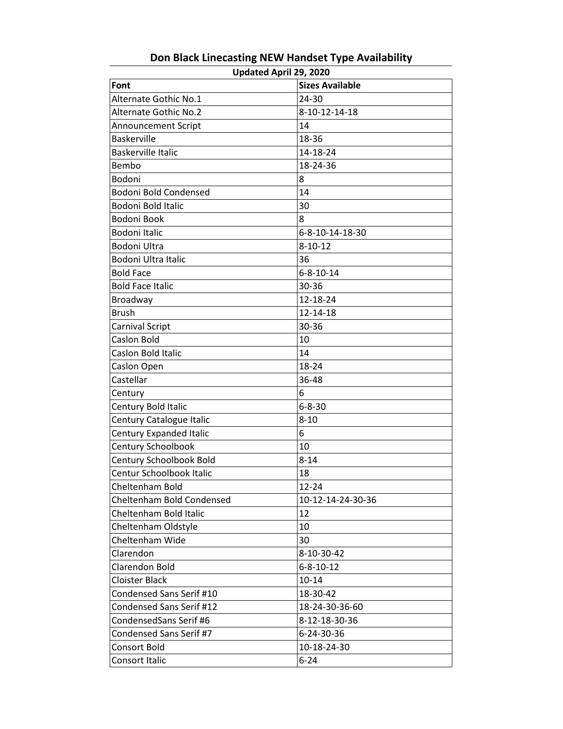| Updated April 29, 2020         |                        |  |
|--------------------------------|------------------------|--|
| Font                           | <b>Sizes Available</b> |  |
| Alternate Gothic No.1          | $24 - 30$              |  |
| <b>Alternate Gothic No.2</b>   | 8-10-12-14-18          |  |
| <b>Announcement Script</b>     | 14                     |  |
| <b>Baskerville</b>             | 18-36                  |  |
| <b>Baskerville Italic</b>      | 14-18-24               |  |
| Bembo                          | 18-24-36               |  |
| Bodoni                         | 8                      |  |
| <b>Bodoni Bold Condensed</b>   | 14                     |  |
| Bodoni Bold Italic             | 30                     |  |
| Bodoni Book                    | 8                      |  |
| Bodoni Italic                  | 6-8-10-14-18-30        |  |
| Bodoni Ultra                   | $8 - 10 - 12$          |  |
| <b>Bodoni Ultra Italic</b>     | 36                     |  |
| <b>Bold Face</b>               | $6 - 8 - 10 - 14$      |  |
| <b>Bold Face Italic</b>        | 30-36                  |  |
| Broadway                       | 12-18-24               |  |
| <b>Brush</b>                   | 12-14-18               |  |
| <b>Carnival Script</b>         | 30-36                  |  |
| Caslon Bold                    | 10                     |  |
| Caslon Bold Italic             | 14                     |  |
| Caslon Open                    | 18-24                  |  |
| Castellar                      | 36-48                  |  |
| Century                        | 6                      |  |
| Century Bold Italic            | $6 - 8 - 30$           |  |
| Century Catalogue Italic       | $8 - 10$               |  |
| <b>Century Expanded Italic</b> | 6                      |  |
| Century Schoolbook             | 10                     |  |
| Century Schoolbook Bold        | $8 - 14$               |  |
| Centur Schoolbook Italic       | 18                     |  |
| Cheltenham Bold                | 12-24                  |  |
| Cheltenham Bold Condensed      | 10-12-14-24-30-36      |  |
| Cheltenham Bold Italic         | 12                     |  |
| Cheltenham Oldstyle            | 10                     |  |
| Cheltenham Wide                | 30                     |  |
| Clarendon                      | 8-10-30-42             |  |
| <b>Clarendon Bold</b>          | $6 - 8 - 10 - 12$      |  |
| <b>Cloister Black</b>          | $10 - 14$              |  |
| Condensed Sans Serif #10       | 18-30-42               |  |
| Condensed Sans Serif #12       | 18-24-30-36-60         |  |
| CondensedSans Serif #6         | 8-12-18-30-36          |  |
| Condensed Sans Serif #7        | 6-24-30-36             |  |
| <b>Consort Bold</b>            | 10-18-24-30            |  |
| Consort Italic                 | $6 - 24$               |  |

**Don Black Linecasting NEW Handset Type Availability**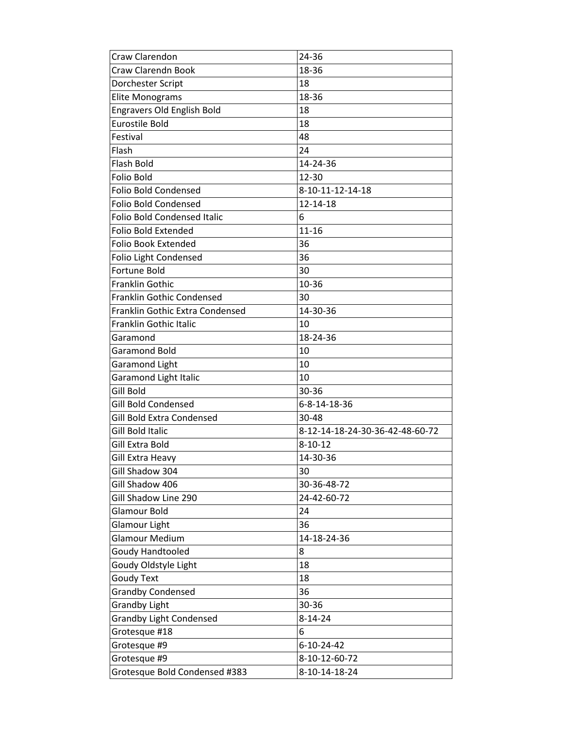| Craw Clarendon                     | 24-36                           |
|------------------------------------|---------------------------------|
| Craw Clarendn Book                 | 18-36                           |
| Dorchester Script                  | 18                              |
| <b>Elite Monograms</b>             | 18-36                           |
| <b>Engravers Old English Bold</b>  | 18                              |
| <b>Eurostile Bold</b>              | 18                              |
| Festival                           | 48                              |
| Flash                              | 24                              |
| Flash Bold                         | 14-24-36                        |
| <b>Folio Bold</b>                  | 12-30                           |
| <b>Folio Bold Condensed</b>        | 8-10-11-12-14-18                |
| <b>Folio Bold Condensed</b>        | 12-14-18                        |
| <b>Folio Bold Condensed Italic</b> | 6                               |
| <b>Folio Bold Extended</b>         | $11 - 16$                       |
| <b>Folio Book Extended</b>         | 36                              |
| Folio Light Condensed              | 36                              |
| <b>Fortune Bold</b>                | 30                              |
| <b>Franklin Gothic</b>             | 10-36                           |
| Franklin Gothic Condensed          | 30                              |
| Franklin Gothic Extra Condensed    | 14-30-36                        |
| Franklin Gothic Italic             | 10                              |
| Garamond                           | 18-24-36                        |
| Garamond Bold                      | 10                              |
| <b>Garamond Light</b>              | 10                              |
| <b>Garamond Light Italic</b>       | 10                              |
| Gill Bold                          | 30-36                           |
| Gill Bold Condensed                | 6-8-14-18-36                    |
| Gill Bold Extra Condensed          | 30-48                           |
| Gill Bold Italic                   | 8-12-14-18-24-30-36-42-48-60-72 |
| Gill Extra Bold                    | $8 - 10 - 12$                   |
| Gill Extra Heavy                   | 14-30-36                        |
| Gill Shadow 304                    | 30                              |
| Gill Shadow 406                    | 30-36-48-72                     |
| Gill Shadow Line 290               | 24-42-60-72                     |
| Glamour Bold                       | 24                              |
| Glamour Light                      | 36                              |
| Glamour Medium                     | 14-18-24-36                     |
| <b>Goudy Handtooled</b>            | 8                               |
| Goudy Oldstyle Light               | 18                              |
| <b>Goudy Text</b>                  | 18                              |
| <b>Grandby Condensed</b>           | 36                              |
| <b>Grandby Light</b>               | 30-36                           |
| <b>Grandby Light Condensed</b>     | $8 - 14 - 24$                   |
| Grotesque #18                      | 6                               |
| Grotesque #9                       | 6-10-24-42                      |
| Grotesque #9                       | 8-10-12-60-72                   |
| Grotesque Bold Condensed #383      | 8-10-14-18-24                   |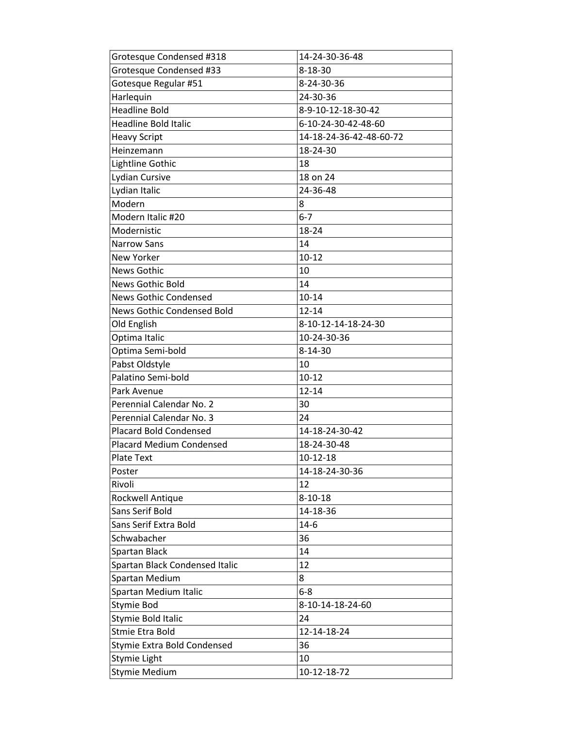| Grotesque Condensed #318          | 14-24-30-36-48          |
|-----------------------------------|-------------------------|
| Grotesque Condensed #33           | $8 - 18 - 30$           |
| Gotesque Regular #51              | 8-24-30-36              |
| Harlequin                         | 24-30-36                |
| <b>Headline Bold</b>              | 8-9-10-12-18-30-42      |
| <b>Headline Bold Italic</b>       | 6-10-24-30-42-48-60     |
| <b>Heavy Script</b>               | 14-18-24-36-42-48-60-72 |
| Heinzemann                        | 18-24-30                |
| Lightline Gothic                  | 18                      |
| Lydian Cursive                    | 18 on 24                |
| Lydian Italic                     | 24-36-48                |
| Modern                            | 8                       |
| Modern Italic #20                 | $6 - 7$                 |
| Modernistic                       | 18-24                   |
| <b>Narrow Sans</b>                | 14                      |
| New Yorker                        | $10 - 12$               |
| <b>News Gothic</b>                | 10                      |
| <b>News Gothic Bold</b>           | 14                      |
| <b>News Gothic Condensed</b>      | $10 - 14$               |
| <b>News Gothic Condensed Bold</b> | 12-14                   |
| Old English                       | 8-10-12-14-18-24-30     |
| Optima Italic                     | 10-24-30-36             |
| Optima Semi-bold                  | $8 - 14 - 30$           |
| Pabst Oldstyle                    | 10                      |
| Palatino Semi-bold                | $10 - 12$               |
| Park Avenue                       | $12 - 14$               |
| Perennial Calendar No. 2          | 30                      |
| Perennial Calendar No. 3          | 24                      |
| <b>Placard Bold Condensed</b>     | 14-18-24-30-42          |
| <b>Placard Medium Condensed</b>   | 18-24-30-48             |
| Plate Text                        | 10-12-18                |
| Poster                            | 14-18-24-30-36          |
| Rivoli                            | 12                      |
| Rockwell Antique                  | $8 - 10 - 18$           |
| Sans Serif Bold                   | 14-18-36                |
| Sans Serif Extra Bold             | $14-6$                  |
| Schwabacher                       | 36                      |
| Spartan Black                     | 14                      |
| Spartan Black Condensed Italic    | 12                      |
| Spartan Medium                    | 8                       |
| Spartan Medium Italic             | $6 - 8$                 |
| Stymie Bod                        | 8-10-14-18-24-60        |
| Stymie Bold Italic                | 24                      |
| Stmie Etra Bold                   | 12-14-18-24             |
| Stymie Extra Bold Condensed       | 36                      |
| Stymie Light                      | 10                      |
| <b>Stymie Medium</b>              | 10-12-18-72             |